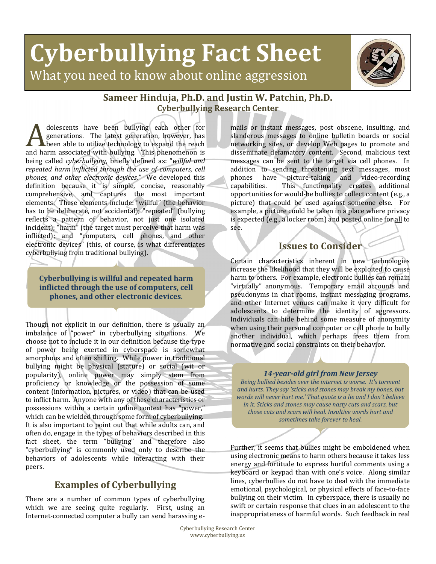# **Cyberbullying Fact Sheet** What you need to know about online aggression



## **Sameer Hinduja, Ph.D. and Justin W. Patchin, Ph.D. Cyberbullying Research Center**

dolescents have been bullying each other for generations. The latest generation, however, has  $\blacktriangle$  been able to utilize technology to expand the reach dolescents have been bullying each other for generations. The latest generation, however, has been able to utilize technology to expand the reach and harm associated with bullying. This phenomenon is being called *cyberbullying*, briefly defined as: "*willful and repeated harm inflicted through the use of computers, cell phones, and other electronic devices."* We developed this definition because it is simple, concise, reasonably comprehensive, and captures the most important elements. These elements include: "willful" (the behavior has to be deliberate, not accidental); "repeated" (bullying reflects a pattern of behavior, not just one isolated incident); "harm" (the target must perceive that harm was inflicted); and "computers, cell phones, and other electronic devices" (this, of course, is what differentiates cyberbullying from traditional bullying).

**Cyberbullying is willful and repeated harm inflicted through the use of computers, cell phones, and other electronic devices.**

Though not explicit in our definition, there is usually an imbalance of "power" in cyberbullying situations. We choose not to include it in our definition because the type of power being exerted in cyberspace is somewhat amorphous and often shifting. While power in traditional bullying might be physical (stature) or social (wit or popularity), online power may simply stem from proficiency or knowledge or the possession of some content (information, pictures, or video) that can be used to inflict harm. Anyone with any of these characteristics or possessions within a certain online context has "power," which can be wielded through some form of cyberbullying. It is also important to point out that while adults can, and often do, engage in the types of behaviors described in this fact sheet, the term "bullying" and therefore also "cyberbullying" is commonly used only to describe the behaviors of adolescents while interacting with their peers.

# **Examples of Cyberbullying**

There are a number of common types of cyberbullying which we are seeing quite regularly. First, using an Internet-connected computer a bully can send harassing e-

mails or instant messages, post obscene, insulting, and slanderous messages to online bulletin boards or social networking sites, or develop Web pages to promote and disseminate defamatory content. Second, malicious text messages can be sent to the target via cell phones. In addition to sending threatening text messages, most phones have picture‐taking and video‐recording capabilities. This functionality creates additional opportunities for would‐be bullies to collect content (e.g., a picture) that could be used against someone else. For example, a picture could be taken in a place where privacy is expected (e.g., a locker room) and posted online for all to see.

## **Issues to Consider**

Certain characteristics inherent in new technologies increase the likelihood that they will be exploited to cause harm to others. For example, electronic bullies can remain "virtually" anonymous. Temporary email accounts and pseudonyms in chat rooms, instant messaging programs, and other Internet venues can make it very difficult for adolescents to determine the identity of aggressors. Individuals can hide behind some measure of anonymity when using their personal computer or cell phone to bully another individual, which perhaps frees them from normative and social constraints on their behavior.

#### *14yearold girl from New Jersey*

*Being bullied besides over the internet is worse. It's torment and hurts. They say 'sticks and stones may break my bones, but words will never hurt me.' That quote is a lie and I don't believe in it. Sticks and stones may cause nasty cuts and scars, but those cuts and scars will heal. Insultive words hurt and sometimes take forever to heal.*

Further, it seems that bullies might be emboldened when using electronic means to harm others because it takes less energy and fortitude to express hurtful comments using a keyboard or keypad than with one's voice. Along similar lines, cyberbullies do not have to deal with the immediate emotional, psychological, or physical effects of face‐to‐face bullying on their victim. In cyberspace, there is usually no swift or certain response that clues in an adolescent to the inappropriateness of harmful words. Such feedback in real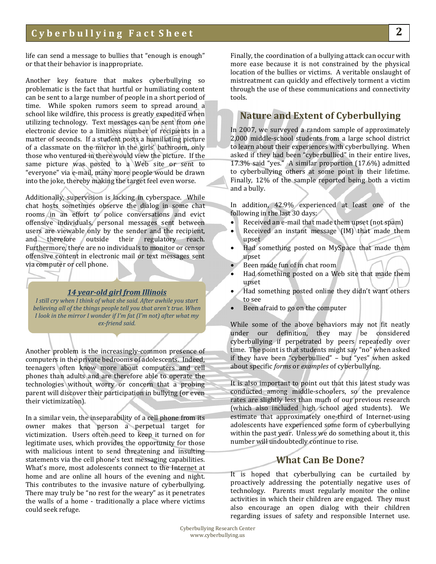life can send a message to bullies that "enough is enough" or that their behavior is inappropriate.

Another key feature that makes cyberbullying so problematic is the fact that hurtful or humiliating content can be sent to a large number of people in a short period of time. While spoken rumors seem to spread around a school like wildfire, this process is greatly expedited when utilizing technology. Text messages can be sent from one electronic device to a limitless number of recipients in a matter of seconds. If a student posts a humiliating picture of a classmate on the mirror in the girls' bathroom, only those who ventured in there would view the picture. If the same picture was posted to a Web site or sent to "everyone" via e‐mail, many more people would be drawn into the joke, thereby making the target feel even worse.

Additionally, supervision is lacking in cyberspace. While chat hosts sometimes observe the dialog in some chat rooms in an effort to police conversations and evict offensive individuals, personal messages sent between users are viewable only by the sender and the recipient, and therefore outside their regulatory reach. Furthermore, there are no individuals to monitor or censor offensive content in electronic mail or text messages sent via computer or cell phone.

#### *14 yearold girl from Illinois*

*I still cry when I think of what she said. After awhile you start believing all of the things people tell you that aren't true. When I look in the mirror I wonder if I'm fat (I'm not) after what my exfriend said.*

Another problem is the increasingly‐common presence of computers in the private bedrooms of adolescents. Indeed, teenagers often know more about computers and cell phones than adults and are therefore able to operate the technologies without worry or concern that a probing parent will discover their participation in bullying (or even their victimization).

In a similar vein, the inseparability of a cell phone from its owner makes that person a perpetual target for victimization. Users often need to keep it turned on for legitimate uses, which provides the opportunity for those with malicious intent to send threatening and insulting statements via the cell phone's text messaging capabilities. What's more, most adolescents connect to the Internet at home and are online all hours of the evening and night. This contributes to the invasive nature of cyberbullying. There may truly be "no rest for the weary" as it penetrates the walls of a home - traditionally a place where victims could seek refuge.

Finally, the coordination of a bullying attack can occur with more ease because it is not constrained by the physical location of the bullies or victims. A veritable onslaught of mistreatment can quickly and effectively torment a victim through the use of these communications and connectivity tools.

## **Nature and Extent of Cyberbullying**

In 2007, we surveyed a random sample of approximately 2,000 middle‐school students from a large school district to learn about their experiences with cyberbullying. When asked if they had been "cyberbullied" in their entire lives, 17.3% said "yes." A similar proportion (17.6%) admitted to cyberbullying others at some point in their lifetime. Finally, 12% of the sample reported being both a victim and a bully.

In addition, 42.9% experienced at least one of the following in the last 30 days:

- Received an e-mail that made them upset (not spam)
- Received an instant message (IM) that made them upset
- Had something posted on MySpace that made them upset
- Been made fun of in chat room
- Had something posted on a Web site that made them upset
- Had something posted online they didn't want others to see
- Been afraid to go on the computer

While some of the above behaviors may not fit neatly under our definition, they may be considered cyberbullying if perpetrated by peers repeatedly over time. The point is that students might say "no" when asked if they have been "cyberbullied" – but "yes" when asked about specific *forms* or *examples* of cyberbullying.

It is also important to point out that this latest study was conducted among middle‐schoolers, so the prevalence rates are slightly less than much of our previous research (which also included high school aged students). We estimate that approximately one‐third of Internet‐using adolescents have experienced some form of cyberbullying within the past year. Unless we do something about it, this number will undoubtedly continue to rise.

### **What Can Be Done?**

It is hoped that cyberbullying can be curtailed by proactively addressing the potentially negative uses of technology. Parents must regularly monitor the online activities in which their children are engaged. They must also encourage an open dialog with their children regarding issues of safety and responsible Internet use.